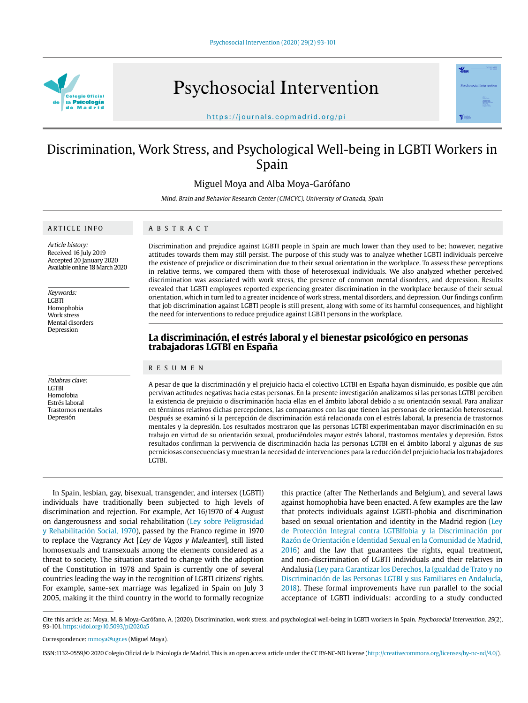

Psychosocial Intervention



https://journals.copmadrid.org/pi

# Discrimination, Work Stress, and Psychological Well-being in LGBTI Workers in Spain

Miguel Moya and Alba Moya-Garófano

Mind, Brain and Behavior Research Center (CIMCYC), University of Granada, Spain

### ARTICLE INFO

ABSTRACT

Article history: Received 16 July 2019 Accepted 20 January 2020 Available online 18 March 2020

Keywords: **LGBTI** Homophobia Work stress Mental disorders Depression

Palabras clave: **LGTBI** Homofobia Estrés laboral Trastornos mentales Depresión

Discrimination and prejudice against LGBTI people in Spain are much lower than they used to be; however, negative attitudes towards them may still persist. The purpose of this study was to analyze whether LGBTI individuals perceive the existence of prejudice or discrimination due to their sexual orientation in the workplace. To assess these perceptions in relative terms, we compared them with those of heterosexual individuals. We also analyzed whether perceived discrimination was associated with work stress, the presence of common mental disorders, and depression. Results revealed that LGBTI employees reported experiencing greater discrimination in the workplace because of their sexual orientation, which in turn led to a greater incidence of work stress, mental disorders, and depression. Our findings confirm that job discrimination against LGBTI people is still present, along with some of its harmful consequences, and highlight the need for interventions to reduce prejudice against LGBTI persons in the workplace.

## **La discriminación, el estrés laboral y el bienestar psicológico en personas trabajadoras LGTBI en España**

## RESUMEN

A pesar de que la discriminación y el prejuicio hacia el colectivo LGTBI en España hayan disminuido, es posible que aún pervivan actitudes negativas hacia estas personas. En la presente investigación analizamos si las personas LGTBI perciben la existencia de prejuicio o discriminación hacia ellas en el ámbito laboral debido a su orientación sexual. Para analizar en términos relativos dichas percepciones, las comparamos con las que tienen las personas de orientación heterosexual. Después se examinó si la percepción de discriminación está relacionada con el estrés laboral, la presencia de trastornos mentales y la depresión. Los resultados mostraron que las personas LGTBI experimentaban mayor discriminación en su trabajo en virtud de su orientación sexual, produciéndoles mayor estrés laboral, trastornos mentales y depresión. Estos resultados confirman la pervivencia de discriminación hacia las personas LGTBI en el ámbito laboral y algunas de sus perniciosas consecuencias y muestran la necesidad de intervenciones para la reducción del prejuicio hacia los trabajadores LGTBI.

In Spain, lesbian, gay, bisexual, transgender, and intersex (LGBTI) individuals have traditionally been subjected to high levels of discrimination and rejection. For example, Act 16/1970 of 4 August on dangerousness and social rehabilitation (Ley sobre Peligrosidad y Rehabilitación Social, 1970), passed by the Franco regime in 1970 to replace the Vagrancy Act [Ley de Vagos y Maleantes], still listed homosexuals and transexuals among the elements considered as a threat to society. The situation started to change with the adoption of the Constitution in 1978 and Spain is currently one of several countries leading the way in the recognition of LGBTI citizens' rights. For example, same-sex marriage was legalized in Spain on July 3 2005, making it the third country in the world to formally recognize

this practice (after The Netherlands and Belgium), and several laws against homophobia have been enacted. A few examples are the law that protects individuals against LGBTI-phobia and discrimination based on sexual orientation and identity in the Madrid region (Ley de Protección Integral contra LGTBIfobia y la Discriminación por Razón de Orientación e Identidad Sexual en la Comunidad de Madrid, 2016) and the law that guarantees the rights, equal treatment, and non-discrimination of LGBTI individuals and their relatives in Andalusia (Ley para Garantizar los Derechos, la Igualdad de Trato y no Discriminación de las Personas LGTBI y sus Familiares en Andalucía, 2018). These formal improvements have run parallel to the social acceptance of LGBTI individuals: according to a study conducted

Cite this article as: Moya, M. & Moya-Garófano, A. (2020). Discrimination, work stress, and psychological well-being in LGBTI workers in Spain. Psychosocial Intervention, 29(2), 93-101. https://doi.org/10.5093/pi2020a5

Correspondence: mmoya@ugr.es (Miguel Moya).

ISSN:1132-0559/© 2020 Colegio Oficial de la Psicología de Madrid. This is an open access article under the CC BY-NC-ND license (http://creativecommons.org/licenses/by-nc-nd/4.0/).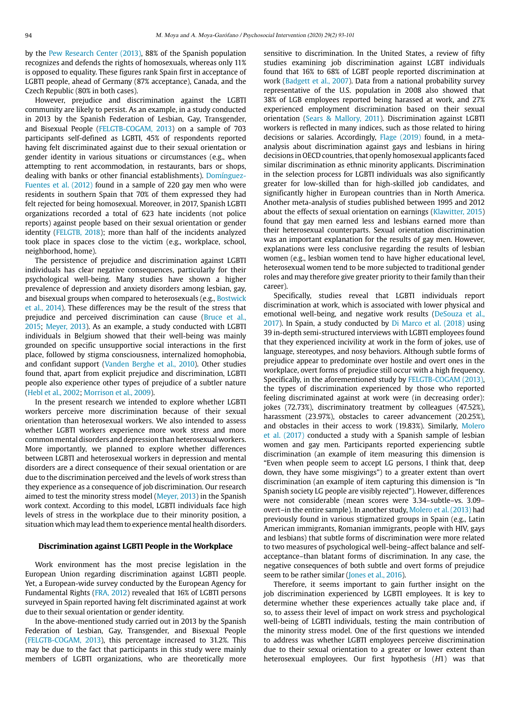by the Pew Research Center (2013), 88% of the Spanish population recognizes and defends the rights of homosexuals, whereas only 11% is opposed to equality. These figures rank Spain first in acceptance of LGBTI people, ahead of Germany (87% acceptance), Canada, and the Czech Republic (80% in both cases).

However, prejudice and discrimination against the LGBTI community are likely to persist. As an example, in a study conducted in 2013 by the Spanish Federation of Lesbian, Gay, Transgender, and Bisexual People (FELGTB-COGAM, 2013) on a sample of 703 participants self-defined as LGBTI, 45% of respondents reported having felt discriminated against due to their sexual orientation or gender identity in various situations or circumstances (e.g., when attempting to rent accommodation, in restaurants, bars or shops, dealing with banks or other financial establishments). Domínguez-Fuentes et al. (2012) found in a sample of 220 gay men who were residents in southern Spain that 70% of them expressed they had felt rejected for being homosexual. Moreover, in 2017, Spanish LGBTI organizations recorded a total of 623 hate incidents (not police reports) against people based on their sexual orientation or gender identity (FELGTB, 2018); more than half of the incidents analyzed took place in spaces close to the victim (e.g., workplace, school, neighborhood, home).

The persistence of prejudice and discrimination against LGBTI individuals has clear negative consequences, particularly for their psychological well-being. Many studies have shown a higher prevalence of depression and anxiety disorders among lesbian, gay, and bisexual groups when compared to heterosexuals (e.g., Bostwick et al., 2014). These differences may be the result of the stress that prejudice and perceived discrimination can cause (Bruce et al., 2015; Meyer, 2013). As an example, a study conducted with LGBTI individuals in Belgium showed that their well-being was mainly grounded on specific unsupportive social interactions in the first place, followed by stigma consciousness, internalized homophobia, and confidant support (Vanden Berghe et al., 2010). Other studies found that, apart from explicit prejudice and discrimination, LGBTI people also experience other types of prejudice of a subtler nature (Hebl et al., 2002; Morrison et al., 2009).

In the present research we intended to explore whether LGBTI workers perceive more discrimination because of their sexual orientation than heterosexual workers. We also intended to assess whether LGBTI workers experience more work stress and more common mental disorders and depression than heterosexual workers. More importantly, we planned to explore whether differences between LGBTI and heterosexual workers in depression and mental disorders are a direct consequence of their sexual orientation or are due to the discrimination perceived and the levels of work stress than they experience as a consequence of job discrimination. Our research aimed to test the minority stress model (Meyer, 2013) in the Spanish work context. According to this model, LGBTI individuals face high levels of stress in the workplace due to their minority position, a situation which may lead them to experience mental health disorders.

### **Discrimination against LGBTI People in the Workplace**

Work environment has the most precise legislation in the European Union regarding discrimination against LGBTI people. Yet, a European-wide survey conducted by the European Agency for Fundamental Rights (FRA, 2012) revealed that 16% of LGBTI persons surveyed in Spain reported having felt discriminated against at work due to their sexual orientation or gender identity.

In the above-mentioned study carried out in 2013 by the Spanish Federation of Lesbian, Gay, Transgender, and Bisexual People (FELGTB-COGAM, 2013), this percentage increased to 31.2%. This may be due to the fact that participants in this study were mainly members of LGBTI organizations, who are theoretically more sensitive to discrimination. In the United States, a review of fifty studies examining job discrimination against LGBT individuals found that 16% to 68% of LGBT people reported discrimination at work (Badgett et al., 2007). Data from a national probability survey representative of the U.S. population in 2008 also showed that 38% of LGB employees reported being harassed at work, and 27% experienced employment discrimination based on their sexual orientation (Sears & Mallory, 2011). Discrimination against LGBTI workers is reflected in many indices, such as those related to hiring decisions or salaries. Accordingly, Flage (2019) found, in a metaanalysis about discrimination against gays and lesbians in hiring decisions in OECD countries, that openly homosexual applicants faced similar discrimination as ethnic minority applicants. Discrimination in the selection process for LGBTI individuals was also significantly greater for low-skilled than for high-skilled job candidates, and significantly higher in European countries than in North America. Another meta-analysis of studies published between 1995 and 2012 about the effects of sexual orientation on earnings (Klawitter, 2015) found that gay men earned less and lesbians earned more than their heterosexual counterparts. Sexual orientation discrimination was an important explanation for the results of gay men. However, explanations were less conclusive regarding the results of lesbian women (e.g., lesbian women tend to have higher educational level, heterosexual women tend to be more subjected to traditional gender roles and may therefore give greater priority to their family than their career).

Specifically, studies reveal that LGBTI individuals report discrimination at work, which is associated with lower physical and emotional well-being, and negative work results (DeSouza et al., 2017). In Spain, a study conducted by Di Marco et al. (2018) using 39 in-depth semi-structured interviews with LGBTI employees found that they experienced incivility at work in the form of jokes, use of language, stereotypes, and nosy behaviors. Although subtle forms of prejudice appear to predominate over hostile and overt ones in the workplace, overt forms of prejudice still occur with a high frequency. Specifically, in the aforementioned study by FELGTB-COGAM (2013), the types of discrimination experienced by those who reported feeling discriminated against at work were (in decreasing order): jokes (72.73%), discriminatory treatment by colleagues (47.52%), harassment (23.97%), obstacles to career advancement (20.25%), and obstacles in their access to work (19.83%). Similarly, Molero et al. (2017) conducted a study with a Spanish sample of lesbian women and gay men. Participants reported experiencing subtle discrimination (an example of item measuring this dimension is "Even when people seem to accept LG persons, I think that, deep down, they have some misgivings") to a greater extent than overt discrimination (an example of item capturing this dimension is "In Spanish society LG people are visibly rejected"). However, differences were not considerable (mean scores were 3.34–subtle–vs. 3.09– overt–in the entire sample). In another study, Molero et al. (2013) had previously found in various stigmatized groups in Spain (e.g., Latin American immigrants, Romanian immigrants, people with HIV, gays and lesbians) that subtle forms of discrimination were more related to two measures of psychological well-being–affect balance and selfacceptance–than blatant forms of discrimination. In any case, the negative consequences of both subtle and overt forms of prejudice seem to be rather similar (Jones et al., 2016).

Therefore, it seems important to gain further insight on the job discrimination experienced by LGBTI employees. It is key to determine whether these experiences actually take place and, if so, to assess their level of impact on work stress and psychological well-being of LGBTI individuals, testing the main contribution of the minority stress model. One of the first questions we intended to address was whether LGBTI employees perceive discrimination due to their sexual orientation to a greater or lower extent than heterosexual employees. Our first hypothesis (H1) was that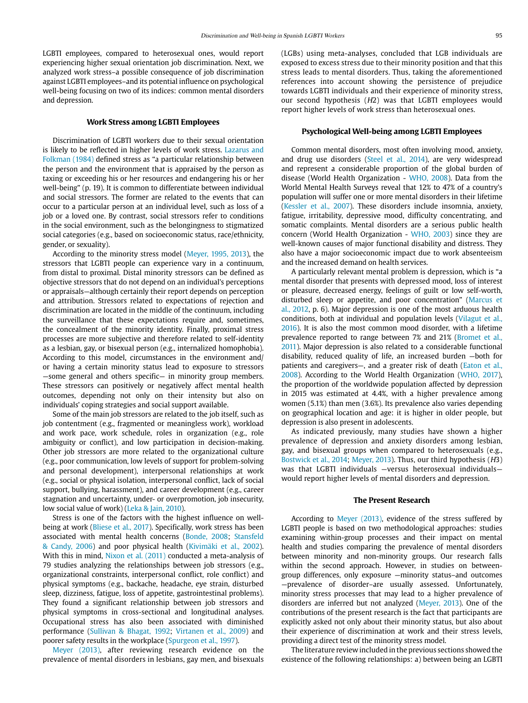LGBTI employees, compared to heterosexual ones, would report experiencing higher sexual orientation job discrimination. Next, we analyzed work stress–a possible consequence of job discrimination against LGBTI employees–and its potential influence on psychological well-being focusing on two of its indices: common mental disorders and depression.

### **Work Stress among LGBTI Employees**

Discrimination of LGBTI workers due to their sexual orientation is likely to be reflected in higher levels of work stress. Lazarus and Folkman (1984) defined stress as "a particular relationship between the person and the environment that is appraised by the person as taxing or exceeding his or her resources and endangering his or her well-being" (p. 19). It is common to differentiate between individual and social stressors. The former are related to the events that can occur to a particular person at an individual level, such as loss of a job or a loved one. By contrast, social stressors refer to conditions in the social environment, such as the belongingness to stigmatized social categories (e.g., based on socioeconomic status, race/ethnicity, gender, or sexuality).

According to the minority stress model (Meyer, 1995, 2013), the stressors that LGBTI people can experience vary in a continuum, from distal to proximal. Distal minority stressors can be defined as objective stressors that do not depend on an individual's perceptions or appraisals—although certainly their report depends on perception and attribution. Stressors related to expectations of rejection and discrimination are located in the middle of the continuum, including the surveillance that these expectations require and, sometimes, the concealment of the minority identity. Finally, proximal stress processes are more subjective and therefore related to self-identity as a lesbian, gay, or bisexual person (e.g., internalized homophobia). According to this model, circumstances in the environment and/ or having a certain minority status lead to exposure to stressors —some general and others specific— in minority group members. These stressors can positively or negatively affect mental health outcomes, depending not only on their intensity but also on individuals' coping strategies and social support available.

Some of the main job stressors are related to the job itself, such as job contentment (e.g., fragmented or meaningless work), workload and work pace, work schedule, roles in organization (e.g., role ambiguity or conflict), and low participation in decision-making. Other job stressors are more related to the organizational culture (e.g., poor communication, low levels of support for problem-solving and personal development), interpersonal relationships at work (e.g., social or physical isolation, interpersonal conflict, lack of social support, bullying, harassment), and career development (e.g., career stagnation and uncertainty, under- or overpromotion, job insecurity, low social value of work) (Leka & Jain, 2010).

Stress is one of the factors with the highest influence on wellbeing at work (Bliese et al., 2017). Specifically, work stress has been associated with mental health concerns (Bonde, 2008; Stansfeld & Candy, 2006) and poor physical health (Kivimäki et al., 2002). With this in mind, Nixon et al. (2011) conducted a meta-analysis of 79 studies analyzing the relationships between job stressors (e.g., organizational constraints, interpersonal conflict, role conflict) and physical symptoms (e.g., backache, headache, eye strain, disturbed sleep, dizziness, fatigue, loss of appetite, gastrointestinal problems). They found a significant relationship between job stressors and physical symptoms in cross-sectional and longitudinal analyses. Occupational stress has also been associated with diminished performance (Sullivan & Bhagat, 1992; Virtanen et al., 2009) and poorer safety results in the workplace (Spurgeon et al., 1997).

Meyer (2013), after reviewing research evidence on the prevalence of mental disorders in lesbians, gay men, and bisexuals (LGBs) using meta-analyses, concluded that LGB individuals are exposed to excess stress due to their minority position and that this stress leads to mental disorders. Thus, taking the aforementioned references into account showing the persistence of prejudice towards LGBTI individuals and their experience of minority stress, our second hypothesis (H2) was that LGBTI employees would report higher levels of work stress than heterosexual ones.

#### **Psychological Well-being among LGBTI Employees**

Common mental disorders, most often involving mood, anxiety, and drug use disorders (Steel et al., 2014), are very widespread and represent a considerable proportion of the global burden of disease (World Health Organization - WHO, 2008). Data from the World Mental Health Surveys reveal that 12% to 47% of a country's population will suffer one or more mental disorders in their lifetime (Kessler et al., 2007). These disorders include insomnia, anxiety, fatigue, irritability, depressive mood, difficulty concentrating, and somatic complaints. Mental disorders are a serious public health concern (World Health Organization - WHO, 2003) since they are well-known causes of major functional disability and distress. They also have a major socioeconomic impact due to work absenteeism and the increased demand on health services.

A particularly relevant mental problem is depression, which is "a mental disorder that presents with depressed mood, loss of interest or pleasure, decreased energy, feelings of guilt or low self-worth, disturbed sleep or appetite, and poor concentration" (Marcus et al., 2012, p. 6). Major depression is one of the most arduous health conditions, both at individual and population levels (Vilagut et al., 2016). It is also the most common mood disorder, with a lifetime prevalence reported to range between 7% and 21% (Bromet et al., 2011). Major depression is also related to a considerable functional disability, reduced quality of life, an increased burden —both for patients and caregivers—, and a greater risk of death (Eaton et al., 2008). According to the World Health Organization (WHO, 2017), the proportion of the worldwide population affected by depression in 2015 was estimated at 4.4%, with a higher prevalence among women (5.1%) than men (3.6%). Its prevalence also varies depending on geographical location and age: it is higher in older people, but depression is also present in adolescents.

As indicated previously, many studies have shown a higher prevalence of depression and anxiety disorders among lesbian, gay, and bisexual groups when compared to heterosexuals (e.g., Bostwick et al., 2014; Meyer, 2013). Thus, our third hypothesis (H3) was that LGBTI individuals —versus heterosexual individuals would report higher levels of mental disorders and depression.

#### **The Present Research**

According to Meyer (2013), evidence of the stress suffered by LGBTI people is based on two methodological approaches: studies examining within-group processes and their impact on mental health and studies comparing the prevalence of mental disorders between minority and non-minority groups. Our research falls within the second approach. However, in studies on betweengroup differences, only exposure —minority status–and outcomes —prevalence of disorder–are usually assessed. Unfortunately, minority stress processes that may lead to a higher prevalence of disorders are inferred but not analyzed (Meyer, 2013). One of the contributions of the present research is the fact that participants are explicitly asked not only about their minority status, but also about their experience of discrimination at work and their stress levels, providing a direct test of the minority stress model.

The literature review included in the previous sections showed the existence of the following relationships: a) between being an LGBTI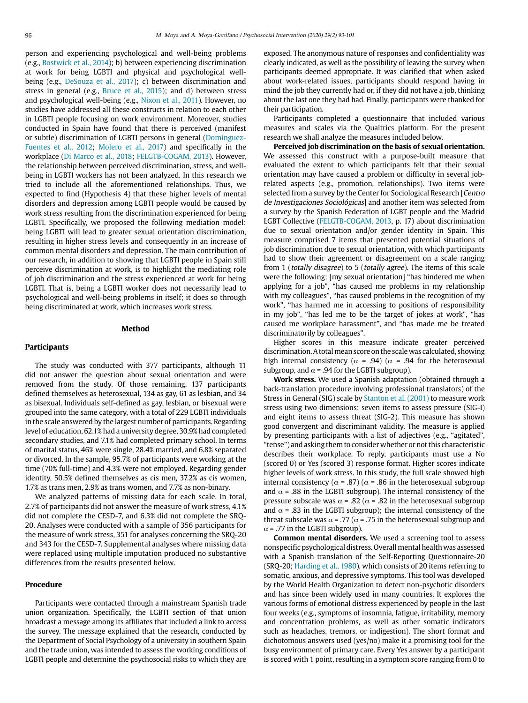person and experiencing psychological and well-being problems (e.g., Bostwick et al., 2014); b) between experiencing discrimination at work for being LGBTI and physical and psychological wellbeing (e.g., DeSouza et al., 2017); c) between discrimination and stress in general (e.g., Bruce et al., 2015); and d) between stress and psychological well-being (e.g., Nixon et al., 2011). However, no studies have addressed all these constructs in relation to each other in LGBTI people focusing on work environment. Moreover, studies conducted in Spain have found that there is perceived (manifest or subtle) discrimination of LGBTI persons in general (Domínguez-Fuentes et al., 2012; Molero et al., 2017) and specifically in the workplace (Di Marco et al., 2018; FELGTB-COGAM, 2013). However, the relationship between perceived discrimination, stress, and wellbeing in LGBTI workers has not been analyzed. In this research we tried to include all the aforementioned relationships. Thus, we expected to find (Hypothesis 4) that these higher levels of mental disorders and depression among LGBTI people would be caused by work stress resulting from the discrimination experienced for being LGBTI. Specifically, we proposed the following mediation model: being LGBTI will lead to greater sexual orientation discrimination, resulting in higher stress levels and consequently in an increase of common mental disorders and depression. The main contribution of our research, in addition to showing that LGBTI people in Spain still perceive discrimination at work, is to highlight the mediating role of job discrimination and the stress experienced at work for being LGBTI. That is, being a LGBTI worker does not necessarily lead to psychological and well-being problems in itself; it does so through being discriminated at work, which increases work stress.

## **Method**

#### **Participants**

The study was conducted with 377 participants, although 11 did not answer the question about sexual orientation and were removed from the study. Of those remaining, 137 participants defined themselves as heterosexual, 134 as gay, 61 as lesbian, and 34 as bisexual. Individuals self-defined as gay, lesbian, or bisexual were grouped into the same category, with a total of 229 LGBTI individuals in the scale answered by the largest number of participants. Regarding level of education, 62.1% had a university degree, 30.9% had completed secondary studies, and 7.1% had completed primary school. In terms of marital status, 46% were single, 28.4% married, and 6.8% separated or divorced. In the sample, 95.7% of participants were working at the time (70% full-time) and 4.3% were not employed. Regarding gender identity, 50.5% defined themselves as cis men, 37.2% as cis women, 1.7% as trans men, 2.9% as trans women, and 7.7% as non-binary.

We analyzed patterns of missing data for each scale. In total, 2.7% of participants did not answer the measure of work stress, 4.1% did not complete the CESD-7, and 6.3% did not complete the SRQ-20. Analyses were conducted with a sample of 356 participants for the measure of work stress, 351 for analyses concerning the SRQ-20 and 343 for the CESD-7. Supplemental analyses where missing data were replaced using multiple imputation produced no substantive differences from the results presented below.

## **Procedure**

Participants were contacted through a mainstream Spanish trade union organization. Specifically, the LGBTI section of that union broadcast a message among its affiliates that included a link to access the survey. The message explained that the research, conducted by the Department of Social Psychology of a university in southern Spain and the trade union, was intended to assess the working conditions of LGBTI people and determine the psychosocial risks to which they are

exposed. The anonymous nature of responses and confidentiality was clearly indicated, as well as the possibility of leaving the survey when participants deemed appropriate. It was clarified that when asked about work-related issues, participants should respond having in mind the job they currently had or, if they did not have a job, thinking about the last one they had had. Finally, participants were thanked for their participation.

Participants completed a questionnaire that included various measures and scales via the Qualtrics platform. For the present research we shall analyze the measures included below.

**Perceived job discrimination on the basis of sexual orientation.**  We assessed this construct with a purpose-built measure that evaluated the extent to which participants felt that their sexual orientation may have caused a problem or difficulty in several jobrelated aspects (e.g., promotion, relationships). Two items were selected from a survey by the Center for Sociological Research [Centro de Investigaciones Sociológicas] and another item was selected from a survey by the Spanish Federation of LGBT people and the Madrid LGBT Collective (FELGTB-COGAM, 2013, p. 17) about discrimination due to sexual orientation and/or gender identity in Spain. This measure comprised 7 items that presented potential situations of job discrimination due to sexual orientation, with which participants had to show their agreement or disagreement on a scale ranging from 1 (totally disagree) to 5 (totally agree). The items of this scale were the following: [my sexual orientation] "has hindered me when applying for a job", "has caused me problems in my relationship with my colleagues", "has caused problems in the recognition of my work", "has harmed me in accessing to positions of responsibility in my job", "has led me to be the target of jokes at work", "has caused me workplace harassment", and "has made me be treated discriminatorily by colleagues".

Higher scores in this measure indicate greater perceived discrimination. A total mean score on the scale was calculated, showing high internal consistency ( $\alpha$  = .94) ( $\alpha$  = .94 for the heterosexual subgroup, and  $\alpha$  = .94 for the LGBTI subgroup).

**Work stress.** We used a Spanish adaptation (obtained through a back-translation procedure involving professional translators) of the Stress in General (SIG) scale by Stanton et al. (2001) to measure work stress using two dimensions: seven items to assess pressure (SIG-I) and eight items to assess threat (SIG-2). This measure has shown good convergent and discriminant validity. The measure is applied by presenting participants with a list of adjectives (e.g., "agitated", "tense") and asking them to consider whether or not this characteristic describes their workplace. To reply, participants must use a No (scored 0) or Yes (scored 3) response format. Higher scores indicate higher levels of work stress. In this study, the full scale showed high internal consistency ( $\alpha$  = .87) ( $\alpha$  = .86 in the heterosexual subgroup and  $\alpha$  = .88 in the LGBTI subgroup). The internal consistency of the pressure subscale was  $\alpha$  = .82 ( $\alpha$  = .82 in the heterosexual subgroup and  $\alpha$  = .83 in the LGBTI subgroup); the internal consistency of the threat subscale was  $\alpha$  = .77 ( $\alpha$  = .75 in the heterosexual subgroup and  $\alpha$  = .77 in the LGBTI subgroup).

**Common mental disorders.** We used a screening tool to assess nonspecific psychological distress. Overall mental health was assessed with a Spanish translation of the Self-Reporting Questionnaire-20 (SRQ-20; Harding et al., 1980), which consists of 20 items referring to somatic, anxious, and depressive symptoms. This tool was developed by the World Health Organization to detect non-psychotic disorders and has since been widely used in many countries. It explores the various forms of emotional distress experienced by people in the last four weeks (e.g., symptoms of insomnia, fatigue, irritability, memory and concentration problems, as well as other somatic indicators such as headaches, tremors, or indigestion). The short format and dichotomous answers used (yes/no) make it a promising tool for the busy environment of primary care. Every Yes answer by a participant is scored with 1 point, resulting in a symptom score ranging from 0 to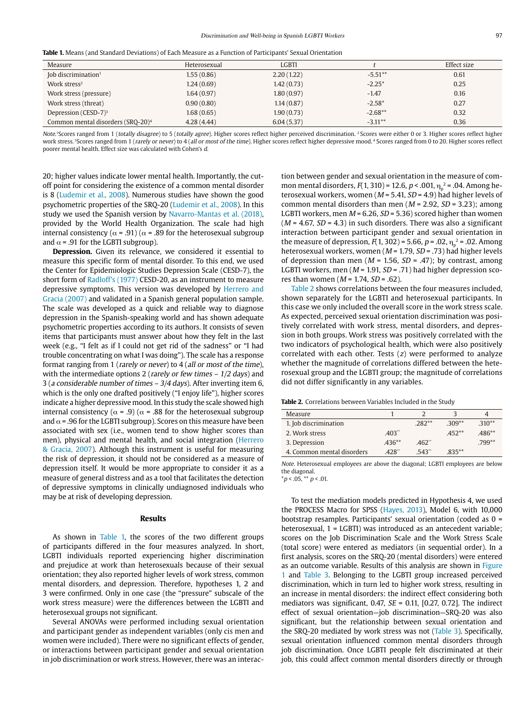| <b>Table 1.</b> Means (and Standard Deviations) of Each Measure as a Function of Participants' Sexual Orientation |  |  |
|-------------------------------------------------------------------------------------------------------------------|--|--|
|-------------------------------------------------------------------------------------------------------------------|--|--|

| Measure                                       | Heterosexual | <b>LGBTI</b> |            | Effect size |
|-----------------------------------------------|--------------|--------------|------------|-------------|
| Job discrimination <sup>1</sup>               | 1.55(0.86)   | 2.20(1.22)   | $-5.51**$  | 0.61        |
| Work stress <sup>2</sup>                      | 1.24(0.69)   | 1.42(0.73)   | $-2.25*$   | 0.25        |
| Work stress (pressure)                        | 1.64(0.97)   | 1.80(0.97)   | $-1.47$    | 0.16        |
| Work stress (threat)                          | 0.90(0.80)   | 1.14(0.87)   | $-2.58*$   | 0.27        |
| Depression (CESD-7) <sup>3</sup>              | 1.68(0.65)   | 1.90(0.73)   | $-2.68**$  | 0.32        |
| Common mental disorders (SRQ-20) <sup>4</sup> | 4.28(4.44)   | 6.04(5.37)   | $-3.11***$ | 0.36        |

Note.<sup>1</sup>Scores ranged from 1 (totally disagree) to 5 (totally agree). Higher scores reflect higher perceived discrimination. <sup>2</sup> Scores were either 0 or 3. Higher scores reflect higher work stress. <sup>3</sup>Scores ranged from 1 (rarely or never) to 4 (all or most of the time). Higher scores reflect higher depressive mood.<sup>4</sup> Scores ranged from 0 to 20. Higher scores reflect poorer mental health. Effect size was calculated with Cohen's d.

20; higher values indicate lower mental health. Importantly, the cutoff point for considering the existence of a common mental disorder is 8 (Ludemir et al., 2008). Numerous studies have shown the good psychometric properties of the SRQ-20 (Ludemir et al., 2008). In this study we used the Spanish version by Navarro-Mantas et al. (2018), provided by the World Health Organization. The scale had high internal consistency ( $\alpha$  = .91) ( $\alpha$  = .89 for the heterosexual subgroup and  $\alpha$  = .91 for the LGBTI subgroup).

**Depression.** Given its relevance, we considered it essential to measure this specific form of mental disorder. To this end, we used the Center for Epidemiologic Studies Depression Scale (CESD-7), the short form of Radloff's (1977) CESD-20, as an instrument to measure depressive symptoms. This version was developed by Herrero and Gracia (2007) and validated in a Spanish general population sample. The scale was developed as a quick and reliable way to diagnose depression in the Spanish-speaking world and has shown adequate psychometric properties according to its authors. It consists of seven items that participants must answer about how they felt in the last week (e.g., "I felt as if I could not get rid of the sadness" or "I had trouble concentrating on what I was doing"). The scale has a response format ranging from 1 (rarely or never) to 4 (all or most of the time), with the intermediate options 2 (rarely or few times  $-1/2$  days) and 3 (a considerable number of times – 3/4 days). After inverting item 6, which is the only one drafted positively ("I enjoy life"), higher scores indicate a higher depressive mood. In this study the scale showed high internal consistency ( $\alpha$  = .9) ( $\alpha$  = .88 for the heterosexual subgroup and  $\alpha$  = .96 for the LGBTI subgroup). Scores on this measure have been associated with sex (i.e., women tend to show higher scores than men), physical and mental health, and social integration (Herrero & Gracia, 2007). Although this instrument is useful for measuring the risk of depression, it should not be considered as a measure of depression itself. It would be more appropriate to consider it as a measure of general distress and as a tool that facilitates the detection of depressive symptoms in clinically undiagnosed individuals who may be at risk of developing depression.

### **Results**

As shown in Table 1, the scores of the two different groups of participants differed in the four measures analyzed. In short, LGBTI individuals reported experiencing higher discrimination and prejudice at work than heterosexuals because of their sexual orientation; they also reported higher levels of work stress, common mental disorders, and depression. Therefore, hypotheses 1, 2 and 3 were confirmed. Only in one case (the "pressure" subscale of the work stress measure) were the differences between the LGBTI and heterosexual groups not significant.

Several ANOVAs were performed including sexual orientation and participant gender as independent variables (only cis men and women were included). There were no significant effects of gender, or interactions between participant gender and sexual orientation in job discrimination or work stress. However, there was an interaction between gender and sexual orientation in the measure of common mental disorders,  $F(1,310)$  = 12.6,  $p < .001$ ,  $\eta_p^2$  = .04. Among heterosexual workers, women ( $M = 5.41$ ,  $SD = 4.9$ ) had higher levels of common mental disorders than men ( $M = 2.92$ ,  $SD = 3.23$ ); among LGBTI workers, men  $M = 6.26$ ,  $SD = 5.36$ ) scored higher than women  $(M = 4.67, SD = 4.3)$  in such disorders. There was also a significant interaction between participant gender and sexual orientation in the measure of depression,  $F(1, 302) = 5.66$ ,  $p = .02$ ,  $\eta_p^2 = .02$ . Among heterosexual workers, women ( $M = 1.79$ ,  $SD = .73$ ) had higher levels of depression than men ( $M = 1.56$ ,  $SD = .47$ ); by contrast, among LGBTI workers, men ( $M = 1.91$ ,  $SD = .71$ ) had higher depression scores than women ( $M = 1.74$ ,  $SD = .62$ ).

Table 2 shows correlations between the four measures included, shown separately for the LGBTI and heterosexual participants. In this case we only included the overall score in the work stress scale. As expected, perceived sexual orientation discrimination was positively correlated with work stress, mental disorders, and depression in both groups. Work stress was positively correlated with the two indicators of psychological health, which were also positively correlated with each other. Tests (z) were performed to analyze whether the magnitude of correlations differed between the heterosexual group and the LGBTI group; the magnitude of correlations did not differ significantly in any variables.

**Table 2.** Correlations between Variables Included in the Study

| Measure                    |          | $\mathcal{D}$  | 2        | 4        |
|----------------------------|----------|----------------|----------|----------|
| 1. Job discrimination      |          | $282**$        | $.309**$ | $.310**$ |
| 2. Work stress             | .403"    |                | $452**$  | $.486**$ |
| 3. Depression              | $.436**$ | $-462^{\circ}$ |          | $.799**$ |
| 4. Common mental disorders | 428"     | .543"          | $.835**$ |          |

Note. Heterosexual employees are above the diagonal; LGBTI employees are below the diagonal.  $*p < .05, **p < .01.$ 

To test the mediation models predicted in Hypothesis 4, we used the PROCESS Macro for SPSS (Hayes, 2013), Model 6, with 10,000 bootstrap resamples. Participants' sexual orientation (coded as 0 = heterosexual, 1 = LGBTI) was introduced as an antecedent variable; scores on the Job Discrimination Scale and the Work Stress Scale (total score) were entered as mediators (in sequential order). In a first analysis, scores on the SRQ-20 (mental disorders) were entered as an outcome variable. Results of this analysis are shown in Figure 1 and Table 3. Belonging to the LGBTI group increased perceived discrimination, which in turn led to higher work stress, resulting in an increase in mental disorders: the indirect effect considering both mediators was significant, 0.47,  $SE = 0.11$ , [0.27, 0.72]. The indirect effect of sexual orientation—job discrimination—SRQ-20 was also significant, but the relationship between sexual orientation and the SRQ-20 mediated by work stress was not (Table 3). Specifically, sexual orientation influenced common mental disorders through job discrimination. Once LGBTI people felt discriminated at their job, this could affect common mental disorders directly or through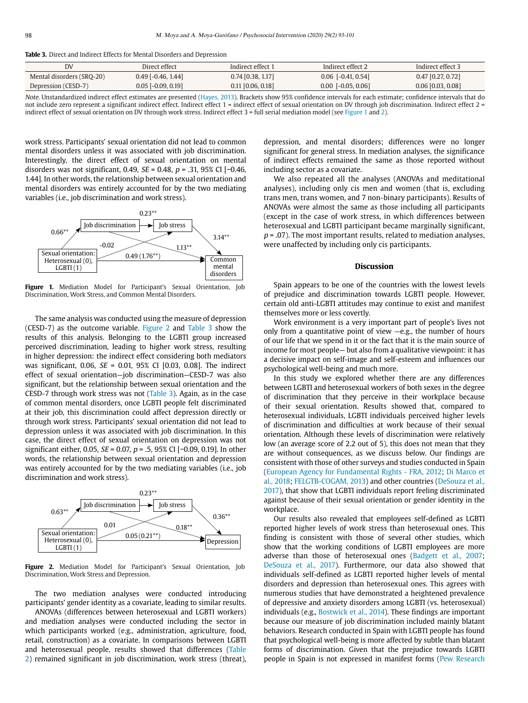| <b>Table 3.</b> Direct and Indirect Effects for Mental Disorders and Depression |
|---------------------------------------------------------------------------------|
|---------------------------------------------------------------------------------|

| <b>DV</b>                 | Direct effect        | Indirect effect 1   | Indirect effect 2    | Indirect effect 3   |
|---------------------------|----------------------|---------------------|----------------------|---------------------|
| Mental disorders (SRO-20) | $0.49$ [-0.46, 1.44] | $0.74$ [0.38, 1.17] | $0.06$ [-0.41, 0.54] | $0.47$ [0.27, 0.72] |
| Depression (CESD-7)       | $0.05$ [-0.09, 0.19] | $0.11$ [0.06, 0.18] | $0.00$ [-0.05, 0.06] | $0.06$ [0.03, 0.08] |

Note. Unstandardized indirect effect estimates are presented (Hayes, 2013). Brackets show 95% confidence intervals for each estimate; confidence intervals that do not include zero represent a significant indirect effect. Indirect effect 1 = indirect effect of sexual orientation on DV through job discrimination. Indirect effect 2 = indirect effect of sexual orientation on DV through work stress. Indirect effect 3 = full serial mediation model (see Figure 1 and 2).

work stress. Participants' sexual orientation did not lead to common mental disorders unless it was associated with job discrimination. Interestingly, the direct effect of sexual orientation on mental disorders was not significant, 0.49,  $SE = 0.48$ ,  $p = .31$ , 95% CI [−0.46, 1.44]. In other words, the relationship between sexual orientation and mental disorders was entirely accounted for by the two mediating variables (i.e., job discrimination and work stress).



Figure 1. Mediation Model for Participant's Sexual Orientation, Job Discrimination, Work Stress, and Common Mental Disorders.

The same analysis was conducted using the measure of depression (CESD-7) as the outcome variable. Figure 2 and Table 3 show the results of this analysis. Belonging to the LGBTI group increased perceived discrimination, leading to higher work stress, resulting in higher depression: the indirect effect considering both mediators was significant, 0.06, SE = 0.01, 95% CI [0.03, 0.08]. The indirect effect of sexual orientation—job discrimination—CESD-7 was also significant, but the relationship between sexual orientation and the CESD-7 through work stress was not (Table 3). Again, as in the case of common mental disorders, once LGBTI people felt discriminated at their job, this discrimination could affect depression directly or through work stress. Participants' sexual orientation did not lead to depression unless it was associated with job discrimination. In this case, the direct effect of sexual orientation on depression was not significant either, 0.05,  $SE = 0.07$ ,  $p = .5$ , 95% CI [-0.09, 0.19]. In other words, the relationship between sexual orientation and depression was entirely accounted for by the two mediating variables (i.e., job discrimination and work stress).



Figure 2. Mediation Model for Participant's Sexual Orientation, Job Discrimination, Work Stress and Depression.

The two mediation analyses were conducted introducing participants' gender identity as a covariate, leading to similar results.

ANOVAs (differences between heterosexual and LGBTI workers) and mediation analyses were conducted including the sector in which participants worked (e.g., administration, agriculture, food, retail, construction) as a covariate. In comparisons between LGBTI and heterosexual people, results showed that differences (Table 2) remained significant in job discrimination, work stress (threat),

depression, and mental disorders; differences were no longer significant for general stress. In mediation analyses, the significance of indirect effects remained the same as those reported without including sector as a covariate.

We also repeated all the analyses (ANOVAs and meditational analyses), including only cis men and women (that is, excluding trans men, trans women, and 7 non-binary participants). Results of ANOVAs were almost the same as those including all participants (except in the case of work stress, in which differences between heterosexual and LGBTI participant became marginally significant,  $p = .07$ ). The most important results, related to mediation analyses, were unaffected by including only cis participants.

#### **Discussion**

Spain appears to be one of the countries with the lowest levels of prejudice and discrimination towards LGBTI people. However, certain old anti-LGBTI attitudes may continue to exist and manifest themselves more or less covertly.

Work environment is a very important part of people's lives not only from a quantitative point of view —e.g., the number of hours of our life that we spend in it or the fact that it is the main source of income for most people— but also from a qualitative viewpoint: it has a decisive impact on self-image and self-esteem and influences our psychological well-being and much more.

In this study we explored whether there are any differences between LGBTI and heterosexual workers of both sexes in the degree of discrimination that they perceive in their workplace because of their sexual orientation. Results showed that, compared to heterosexual individuals, LGBTI individuals perceived higher levels of discrimination and difficulties at work because of their sexual orientation. Although these levels of discrimination were relatively low (an average score of 2.2 out of 5), this does not mean that they are without consequences, as we discuss below. Our findings are consistent with those of other surveys and studies conducted in Spain (European Agency for Fundamental Rights - FRA, 2012; Di Marco et al., 2018; FELGTB-COGAM, 2013) and other countries (DeSouza et al., 2017), that show that LGBTI individuals report feeling discriminated against because of their sexual orientation or gender identity in the workplace.

Our results also revealed that employees self-defined as LGBTI reported higher levels of work stress than heterosexual ones. This finding is consistent with those of several other studies, which show that the working conditions of LGBTI employees are more adverse than those of heterosexual ones (Badgett et al., 2007; DeSouza et al., 2017). Furthermore, our data also showed that individuals self-defined as LGBTI reported higher levels of mental disorders and depression than heterosexual ones. This agrees with numerous studies that have demonstrated a heightened prevalence of depressive and anxiety disorders among LGBTI (vs. heterosexual) individuals (e.g., Bostwick et al., 2014). These findings are important because our measure of job discrimination included mainly blatant behaviors. Research conducted in Spain with LGBTI people has found that psychological well-being is more affected by subtle than blatant forms of discrimination. Given that the prejudice towards LGBTI people in Spain is not expressed in manifest forms (Pew Research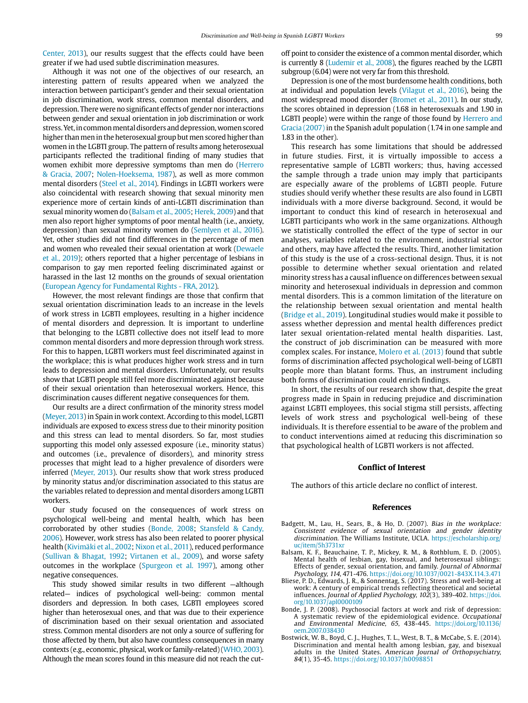Center, 2013), our results suggest that the effects could have been greater if we had used subtle discrimination measures.

Although it was not one of the objectives of our research, an interesting pattern of results appeared when we analyzed the interaction between participant's gender and their sexual orientation in job discrimination, work stress, common mental disorders, and depression. There were no significant effects of gender nor interactions between gender and sexual orientation in job discrimination or work stress. Yet, in common mental disorders and depression, women scored higher than men in the heterosexual group but men scored higher than women in the LGBTI group. The pattern of results among heterosexual participants reflected the traditional finding of many studies that women exhibit more depressive symptoms than men do (Herrero & Gracia, 2007; Nolen-Hoeksema, 1987), as well as more common mental disorders (Steel et al., 2014). Findings in LGBTI workers were also coincidental with research showing that sexual minority men experience more of certain kinds of anti-LGBTI discrimination than sexual minority women do (Balsam et al., 2005; Herek, 2009) and that men also report higher symptoms of poor mental health (i.e., anxiety, depression) than sexual minority women do (Semlyen et al., 2016). Yet, other studies did not find differences in the percentage of men and women who revealed their sexual orientation at work (Dewaele et al., 2019); others reported that a higher percentage of lesbians in comparison to gay men reported feeling discriminated against or harassed in the last 12 months on the grounds of sexual orientation (European Agency for Fundamental Rights - FRA, 2012).

However, the most relevant findings are those that confirm that sexual orientation discrimination leads to an increase in the levels of work stress in LGBTI employees, resulting in a higher incidence of mental disorders and depression. It is important to underline that belonging to the LGBTI collective does not itself lead to more common mental disorders and more depression through work stress. For this to happen, LGBTI workers must feel discriminated against in the workplace; this is what produces higher work stress and in turn leads to depression and mental disorders. Unfortunately, our results show that LGBTI people still feel more discriminated against because of their sexual orientation than heterosexual workers. Hence, this discrimination causes different negative consequences for them.

Our results are a direct confirmation of the minority stress model (Meyer, 2013) in Spain in work context. According to this model, LGBTI individuals are exposed to excess stress due to their minority position and this stress can lead to mental disorders. So far, most studies supporting this model only assessed exposure (i.e., minority status) and outcomes (i.e., prevalence of disorders), and minority stress processes that might lead to a higher prevalence of disorders were inferred (Meyer, 2013). Our results show that work stress produced by minority status and/or discrimination associated to this status are the variables related to depression and mental disorders among LGBTI workers.

Our study focused on the consequences of work stress on psychological well-being and mental health, which has been corroborated by other studies (Bonde, 2008; Stansfeld & Candy, 2006). However, work stress has also been related to poorer physical health (Kivimäki et al., 2002; Nixon et al., 2011), reduced performance (Sullivan & Bhagat, 1992; Virtanen et al., 2009), and worse safety outcomes in the workplace (Spurgeon et al. 1997), among other negative consequences.

This study showed similar results in two different —although related— indices of psychological well-being: common mental disorders and depression. In both cases, LGBTI employees scored higher than heterosexual ones, and that was due to their experience of discrimination based on their sexual orientation and associated stress. Common mental disorders are not only a source of suffering for those affected by them, but also have countless consequences in many contexts (e.g., economic, physical, work or family-related) (WHO, 2003). Although the mean scores found in this measure did not reach the cutoff point to consider the existence of a common mental disorder, which is currently 8 (Ludemir et al., 2008), the figures reached by the LGBTI subgroup (6.04) were not very far from this threshold.

Depression is one of the most burdensome health conditions, both at individual and population levels (Vilagut et al., 2016), being the most widespread mood disorder (Bromet et al., 2011). In our study, the scores obtained in depression (1.68 in heterosexuals and 1.90 in LGBTI people) were within the range of those found by Herrero and Gracia (2007) in the Spanish adult population (1.74 in one sample and 1.83 in the other).

This research has some limitations that should be addressed in future studies. First, it is virtually impossible to access a representative sample of LGBTI workers; thus, having accessed the sample through a trade union may imply that participants are especially aware of the problems of LGBTI people. Future studies should verify whether these results are also found in LGBTI individuals with a more diverse background. Second, it would be important to conduct this kind of research in heterosexual and LGBTI participants who work in the same organizations. Although we statistically controlled the effect of the type of sector in our analyses, variables related to the environment, industrial sector and others, may have affected the results. Third, another limitation of this study is the use of a cross-sectional design. Thus, it is not possible to determine whether sexual orientation and related minority stress has a causal influence on differences between sexual minority and heterosexual individuals in depression and common mental disorders. This is a common limitation of the literature on the relationship between sexual orientation and mental health (Bridge et al., 2019). Longitudinal studies would make it possible to assess whether depression and mental health differences predict later sexual orientation-related mental health disparities. Last, the construct of job discrimination can be measured with more complex scales. For instance, Molero et al. (2013) found that subtle forms of discrimination affected psychological well-being of LGBTI people more than blatant forms. Thus, an instrument including both forms of discrimination could enrich findings.

In short, the results of our research show that, despite the great progress made in Spain in reducing prejudice and discrimination against LGBTI employees, this social stigma still persists, affecting levels of work stress and psychological well-being of these individuals. It is therefore essential to be aware of the problem and to conduct interventions aimed at reducing this discrimination so that psychological health of LGBTI workers is not affected.

## **Conflict of Interest**

The authors of this article declare no conflict of interest.

#### **References**

- Badgett, M., Lau, H., Sears, B., & Ho, D. (2007). Bias in the workplace: Consistent evidence of sexual orientation and gender identity discrimination. The Williams Institute, UCLA. [https://escholarship.org/](https://escholarship.org/uc/item/5h3731xr) [uc/item/5h3731xr](https://escholarship.org/uc/item/5h3731xr)
- Balsam, K. F., Beauchaine, T. P., Mickey, R. M., & Rothblum, E. D. (2005). Mental health of lesbian, gay, bisexual, and heterosexual siblings: Effects of gender, sexual orientation, and family. Journal of Abnormal Psychology, 114, 471-476. https://doi.org/10.1037/0021-843X.114.3.471
- Bliese, P. D., Edwards, J. R., & Sonnentag, S. (2017). Stress and well-being at work: A century of empirical trends reflecting theoretical and societal influences. Journal of Applied Psychology, 102(3), 389-402. [https://doi.](https://doi.org/10.1037/apl0000109) [org/10.1037/apl0000109](https://doi.org/10.1037/apl0000109)
- Bonde, J. P. (2008). Psychosocial factors at work and risk of depression: A systematic review of the epidemiological evidence. Occupational and Environmental Medicine, 65, 438-445. [https://doi.org/10.1136/](https://doi.org/10.1136/oem.2007.038430) [oem.2007.038430](https://doi.org/10.1136/oem.2007.038430)
- Bostwick, W. B., Boyd, C. J., Hughes, T. L., West, B. T., & McCabe, S. E. (2014). Discrimination and mental health among lesbian, gay, and bisexual adults in the United States. American Journal of Orthopsychiatry, 84(1), 35-45. https://doi.org/10.1037/h0098851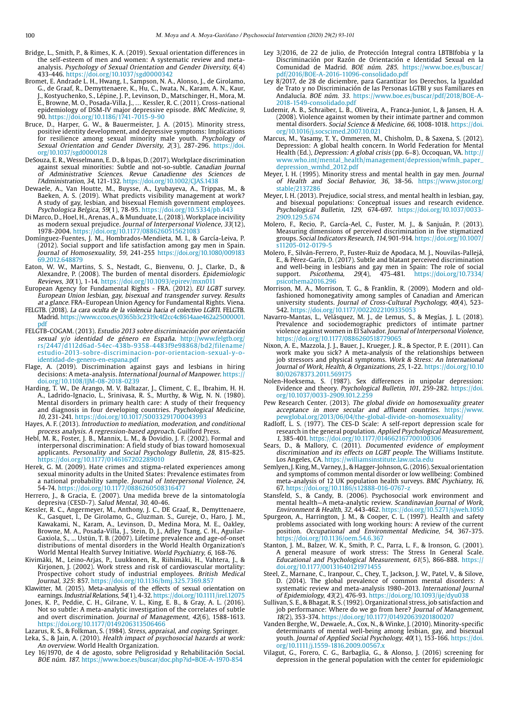- Bridge, L., Smith, P., & Rimes, K. A. (2019). Sexual orientation differences in the self-esteem of men and women: A systematic review and metaanalysis. Psychology of Sexual Orientation and Gender Diversity, 6(4) 433-446.<https://doi.org/10.1037/sgd0000342>
- Bromet, E. Andrade L. H., Hwang, I., Sampson, N. A., Alonso, J., de Girolamo, G., de Graaf, R., [Demyttenaere, K](https://www.ncbi.nlm.nih.gov/pubmed/?term=Demyttenaere K%5BAuthor%5D&cauthor=true&cauthor_uid=21791035)., [Hu, C.](https://www.ncbi.nlm.nih.gov/pubmed/?term=Hu C%5BAuthor%5D&cauthor=true&cauthor_uid=21791035), [Iwata, N](https://www.ncbi.nlm.nih.gov/pubmed/?term=Iwata N%5BAuthor%5D&cauthor=true&cauthor_uid=21791035)., [Karam, A. N.](https://www.ncbi.nlm.nih.gov/pubmed/?term=Karam AN%5BAuthor%5D&cauthor=true&cauthor_uid=21791035), [Kaur,](https://www.ncbi.nlm.nih.gov/pubmed/?term=Kaur J%5BAuthor%5D&cauthor=true&cauthor_uid=21791035)  [J.](https://www.ncbi.nlm.nih.gov/pubmed/?term=Kaur J%5BAuthor%5D&cauthor=true&cauthor_uid=21791035), [Kostyuchenko, S](https://www.ncbi.nlm.nih.gov/pubmed/?term=Kostyuchenko S%5BAuthor%5D&cauthor=true&cauthor_uid=21791035)., [Lépine, J. P.](https://www.ncbi.nlm.nih.gov/pubmed/?term=L%C3%A9pine JP%5BAuthor%5D&cauthor=true&cauthor_uid=21791035), [Levinson, D](https://www.ncbi.nlm.nih.gov/pubmed/?term=Levinson D%5BAuthor%5D&cauthor=true&cauthor_uid=21791035)., [Matschinger, H](https://www.ncbi.nlm.nih.gov/pubmed/?term=Matschinger H%5BAuthor%5D&cauthor=true&cauthor_uid=21791035)., [Mora, M.](https://www.ncbi.nlm.nih.gov/pubmed/?term=Mora ME%5BAuthor%5D&cauthor=true&cauthor_uid=21791035)  [E.](https://www.ncbi.nlm.nih.gov/pubmed/?term=Mora ME%5BAuthor%5D&cauthor=true&cauthor_uid=21791035), [Browne, M. O.](https://www.ncbi.nlm.nih.gov/pubmed/?term=Browne MO%5BAuthor%5D&cauthor=true&cauthor_uid=21791035), [Posada-Villa, J.](https://www.ncbi.nlm.nih.gov/pubmed/?term=Posada-Villa J%5BAuthor%5D&cauthor=true&cauthor_uid=21791035), … [Kessler, R. C](https://www.ncbi.nlm.nih.gov/pubmed/?term=Kessler RC%5BAuthor%5D&cauthor=true&cauthor_uid=21791035). (2011). Cross-national epidemiology of DSM-IV major depressive episode. BMC Medicine, 9, 90. https://doi.org/10.1186/1741-7015-9-90
- Bruce, D., Harper, G. W., & Bauermeister, J. A. (2015). Minority stress, positive identity development, and depressive symptoms: Implications for resilience among sexual minority male youth. Psychology of Sexual Orientation and Gender Diversity, 2(3), 287-296. [https://doi.](https://doi.org/10.1037/sgd0000128) [org/10.1037/sgd0000128](https://doi.org/10.1037/sgd0000128)
- DeSouza, E. R., Wesselmann, E. D., & Ispas, D. (2017). Workplace discrimination against sexual minorities: Subtle and not-so-subtle. Canadian Journal of Administrative Sciences. Revue Canadienne des Sciences de l'Administration, 34, 121-132. <https://doi.org/10.1002/CJAS.1438>
- Dewaele, A., Van Houtte, M., Buysse, A., Lyubayeva, A., Trippas, M., & Baeken, A. S. (2019). What predicts visibility management at work? A study of gay, lesbian, and bisexual Flemish government employees. Psychologica Belgica, 59(1), 78-95. https://doi.org/10.5334/pb.443
- Di Marco, D., Hoel, H., Arenas, A., & Munduate, L. (2018). Workplace incivility as modern sexual prejudice. Journal of Interpersonal Violence, 33(12), 1978-2004. https://doi.org/10.1177/0886260515621083
- Domínguez-Fuentes, J. M., Hombrados-Mendieta, M. I., & García-Leiva, P. (2012). Social support and life satisfaction among gay men in Spain. Journal of Homosexuality, 59, 241-255 [https://doi.org/10.1080/009183](https://doi.org/10.1080/00918369.2012.648879) [69.2012.648879](https://doi.org/10.1080/00918369.2012.648879)
- Eaton, W. W., Martins, S. S., Nestadt, G., Bienvenu, O. J., Clarke, D., & Alexandre, P. (2008). The burden of mental disorders. Epidemiologic Reviews, 30(1), 1-14. https://doi.org/10.1093/epirev/mxn011
- European Agency for Fundamental Rights FRA. (2012). EU LGBT survey. European Union lesbian, gay, bisexual and transgender survey. Results at a glance. FRA–European Union Agency for Fundamental Rights. Viena.
- FELGTB. (2018). La cara oculta de la violencia hacia el colectivo LGBTI. FELGTB. Madrid. [https://www.ccoo.es/0365b3c2319c4f2cc4c8614aae462a25000001.](https://www.ccoo.es/0365b3c2319c4f2cc4c8614aae462a25000001.pdf) [pdf](https://www.ccoo.es/0365b3c2319c4f2cc4c8614aae462a25000001.pdf)
- FELGTB-COGAM. (2013). Estudio 2013 sobre discriminación por orientación sexual y/o identidad de género en España. [http://www.felgtb.org/](http://www.felgtb.org/rs/2447/d112d6ad-54ec-438b-9358-4483f9e98868/bd2/filename/estudio-2013-sobre-discriminacion-por-orientacion-sexual-y-o-identidad-de-genero-en-espana.pdf) [rs/2447/d112d6ad-54ec-438b-9358-4483f9e98868/bd2/filename/](http://www.felgtb.org/rs/2447/d112d6ad-54ec-438b-9358-4483f9e98868/bd2/filename/estudio-2013-sobre-discriminacion-por-orientacion-sexual-y-o-identidad-de-genero-en-espana.pdf) [estudio-2013-sobre-discriminacion-por-orientacion-sexual-y-o](http://www.felgtb.org/rs/2447/d112d6ad-54ec-438b-9358-4483f9e98868/bd2/filename/estudio-2013-sobre-discriminacion-por-orientacion-sexual-y-o-identidad-de-genero-en-espana.pdf)[identidad-de-genero-en-espana.pdf](http://www.felgtb.org/rs/2447/d112d6ad-54ec-438b-9358-4483f9e98868/bd2/filename/estudio-2013-sobre-discriminacion-por-orientacion-sexual-y-o-identidad-de-genero-en-espana.pdf)
- Flage, A. (2019). Discrimination against gays and lesbians in hiring decisions: A meta-analysis. International Journal of Manpower. https:// doi.org/10.1108/IJM-08-2018-0239
- Harding, T. W., De Arango, M. V. Baltazar, J., Climent, C. E., Ibrahim, H. H. A., Ladrido-Ignacio, L., Srinivasa, R. S., Murthy, & Wig, N. N. (1980). Mental disorders in primary health care: A study of their frequency and diagnosis in four developing countries. Psychological Medicine, 10, 231-241.<https://doi.org/10.1017/S0033291700043993>
- Hayes, A. F. (2013). Introduction to mediation, moderation, and conditional process analysis. A regression-based approach. Guilford Press.
- Hebl, M. R., Foster, J. B., Mannix, L. M., & Dovidio, J. F. (2002). Formal and interpersonal discrimination: A field study of bias toward homosexual applicants. Personality and Social Psychology Bulletin, 28, 815-825. <https://doi.org/10.1177/0146167202289010>
- Herek, G. M. (2009). Hate crimes and stigma-related experiences among sexual minority adults in the United States: Prevalence estimates from a national probability sample. Journal of Interpersonal Violence, 24, 54-74. https://doi.org/10.1177/0886260508316477
- Herrero, J., & Gracia, E. (2007). Una medida breve de la sintomatología depresiva (CESD-7). Salud Mental, 30, 40-46.
- Kessler, R. C., Angermeyer, M., Anthony, J. C., DE Graaf, R., Demyttenaere, K., Gasquet, I., De Girolamo, G., Gluzman. S., Gureje, O., Haro, J. M., Kawakami, N., Karam, A., Levinson, D., Medina Mora, M. E., Oakley, Browne, M. A., Posada-Villa, J., Stein, D, J., Adley Tsang, C. H., Aguilar-Gaxiola, S., ... Ustün, T. B. (2007). Lifetime prevalence and age-of-onset distributions of mental disorders in the World Health Organization's World Mental Health Survey Initiative. World Psychiatry, 6, 168-76.
- Kivimäki, M., Leino-Arjas, P., Luukkonen, R., Riihimäki, H., Vahtera, J., & Kirjonen, J. (2002). Work stress and risk of cardiovascular mortality: Prospective cohort study of industrial employees. British Medical Journal, 325: 857. https://doi.org/10.1136/bmj.325.7369.857
- Klawitter, M. (2015). Meta-analysis of the effects of sexual orientation on earnings. Industrial Relations, 54(1), 4-32.<https://doi.org/10.1111/irel.12075>
- Jones, K. P., Peddie, C. H., Gilrane, V. L., King, E. B., & Gray, A. L. (2016). Not so subtle: A meta-analytic investigation of the correlates of subtle and overt discrimination. Journal of Management, 42(6), 1588-1613. https://doi.org/10.1177/0149206313506466
- Lazarus, R. S., & Folkman, S. (1984). Stress, appraisal, and coping. Springer.
- Leka, S., & Jain, A. (2010). Health impact of psychosocial hazards at work: An overview. World Health Organization.
- Ley 16/1970, de 4 de agosto, sobre Peligrosidad y Rehabilitación Social. BOE núm. 187. <https://www.boe.es/buscar/doc.php?id=BOE-A-1970-854>
- Ley 3/2016, de 22 de julio, de Protección Integral contra LBTBIfobia y la Discriminación por Razón de Orientación e Identidad Sexual en la Comunidad de Madrid. BOE núm. 285. [https://www.boe.es/buscar/](https://www.boe.es/buscar/pdf/2016/BOE-A-2016-11096-consolidado.pdf) [pdf/2016/BOE-A-2016-11096-consolidado.pdf](https://www.boe.es/buscar/pdf/2016/BOE-A-2016-11096-consolidado.pdf)
- Ley 8/2017, de 28 de diciembre, para Garantizar los Derechos, la Igualdad de Trato y no Discriminación de las Personas LGTBI y sus Familiares en Andalucía. BOE núm. 33. https://www.boe.es/buscar/pdf/2018/BOE-A-2018-1549-consolidado.pdf
- Ludemir, A. B., Schraiber, L. B., Oliveira, A., Franca-Junior, I., & Jansen, H. A. (2008). Violence against women by their intimate partner and common mental disorders. Social Science & Medicine, 66, 1008-1018. [https://doi.](https://doi.org/10.1016/j.socscimed.2007.10.021) [org/10.1016/j.socscimed.2007.10.021](https://doi.org/10.1016/j.socscimed.2007.10.021)
- Marcus, M., Yasamy, T. Y., Ommeren, M., Chisholm, D., & Saxena, S. (2012). Depression: A global health concern. In World Federation for Mental Health (Ed.), Depression: A global crisis (pp. 6–8). Occoquan, VA. http:// www.who.int/mental\_health/management/depression/wfmh\_paper\_ depression\_wmhd\_2012.pdf
- Meyer, I. H. (1995). Minority stress and mental health in gay men. Journal of Health and Social Behavior, 36, 38-56. [https://www.jstor.org/](https://www.jstor.org/stable/2137286) [stable/2137286](https://www.jstor.org/stable/2137286)
- Meyer, I. H. (2013). Prejudice, social stress, and mental health in lesbian, gay, and bisexual populations: Conceptual issues and research evidence. Psychological Bulletin, 129, 674-697. https://doi.org/10.1037/0033- 2909.129.5.674
- Molero, F., Recio, P., García-Ael, C., Fuster, M. J., & Sanjuán, P. (2013). Measuring dimensions of perceived discrimination in five stigmatized groups. Social Indicators Research, 114, 901-914. [https://doi.org/10.1007/](https://doi.org/10.1007/s11205-012-0179-5) [s11205-012-0179-5](https://doi.org/10.1007/s11205-012-0179-5)
- Molero, F., Silván-Ferrero, P., Fuster-Ruiz de Apodaca, M. J., Nouvilas-Pallejá, E., & Pérez-Garín, D. (2017). Subtle and blatant perceived discrimination and well-being in lesbians and gay men in Spain: The role of social support. *Psicothema*,  $29(4)$ ,  $475-481$ . https://doi.org/10.7334/ support. Psicothema, 29(4), 475-481. [https://doi.org/10.7334/](https://doi.org/10.7334/psicothema2016.296) [psicothema2016.296](https://doi.org/10.7334/psicothema2016.296)
- Morrison, M. A., Morrison, T. G., & Franklin, R. (2009). Modern and oldfashioned homonegativity among samples of Canadian and American university students. Journal of Cross-Cultural Psychology, 40(4), 523-542. https://doi.org/10.1177/0022022109335053
- Navarro-Mantas, L., Velásquez, M. J., de Lemus, S., & Megías, J. L. (2018). Prevalence and sociodemographic predictors of intimate partner violence against women in El Salvador. Journal of Interpersonal Violence, https://doi.org/10.1177/0886260518779065
- Nixon, A. E., Mazzola, J. J., Bauer, J., Krueger, J. R., & Spector, P. E. (2011). Can work make you sick? A meta-analysis of the relationships between job stressors and physical symptoms. Work & Stress: An International Journal of Work, Health, & Organizations, 25, 1-22. [https://doi.org/10.10](https://doi.org/10.1080/02678373.2011.569175) [80/02678373.2011.569175](https://doi.org/10.1080/02678373.2011.569175)
- Nolen-Hoeksema, S. (1987). Sex differences in unipolar depression: Evidence and theory. Psychological Bulletin, 101, 259-282. [https://doi.](https://doi.org/10.1037/0033-2909.101.2.259) [org/10.1037/0033-2909.101.2.259](https://doi.org/10.1037/0033-2909.101.2.259)
- Pew Research Center. (2013). The global divide on homosexuality greater acceptance in more secular and affluent countries. [https://www.](https://www.pewglobal.org/2013/06/04/the-global-divide-on-homosexuality/) [pewglobal.org/2013/06/04/the-global-divide-on-homosexuality/](https://www.pewglobal.org/2013/06/04/the-global-divide-on-homosexuality/)
- Radloff, L. S. (1977). The CES-D Scale: A self-report depression scale for research in the general population. Applied Psychological Measurement, 1, 385-401.<https://doi.org/10.1177/014662167700100306>
- Sears, D., & Mallory, C. (2011). Documented evidence of employment discrimination and its effects on LGBT people. The Williams Institute. Los Angeles, CA.<https://williamsinstitute.law.ucla.edu>
- Semlyen, J. King, M., Varney, J., & Hagger-Johnson, G. (2016). Sexual orientation and symptoms of common mental disorder or low wellbeing: Combined meta-analysis of 12 UK population health surveys. BMC Psychiatry, 16, 67. https://doi.org/10.1186/s12888-016-0767-z
- Stansfeld, S., & Candy, B. (2006). Psychosocial work environment and mental health—A meta-analytic review. Scandinavian Journal of Work, Environment & Health, 32, 443-462.<https://doi.org/10.5271/sjweh.1050>
- Spurgeon, A., Harrington, J. M., & Cooper, C. L. (1997). Health and safety problems associated with long working hours: A review of the current position. Occupational and Environmental Medicine, 54, 367-375. <https://doi.org/10.1136/oem.54.6.367>
- Stanton, J. M., Balzer, W. K., Smith, P. C., Parra, L. F., & Ironson, G. (2001). A general measure of work stress: The Stress In General Scale. Educational and Psychological Measurement, 61(5), 866-888. [https://](https://doi.org/10.1177/00131640121971455) [doi.org/10.1177/00131640121971455](https://doi.org/10.1177/00131640121971455)
- Steel, Z., Marnane, C., Iranpour, C., Chey, T., Jackson, J. W., Patel, V., & Silove, D. (2014). The global prevalence of common mental disorders: A systematic review and meta-analysis 1980–2013. International Journal of Epidemiology, 43(2), 476-93. https://doi.org/10.1093/ije/dyu038
- Sullivan, S. E., & Bhagat, R. S. (1992). Organizational stress, job satisfaction and job performance: Where do we go from here? Journal of Management, 18(2), 353-374. https://doi.org/10.1177/014920639201800207
- Vanden Berghe, W., Dewaele, A., Cox, N., & Winke, J. (2010). Minority-specific determinants of mental well-being among lesbian, gay, and bisexual youth. Journal of Applied Social Psychology, 40(1), 153-166. [https://doi.](https://doi.org/10.1111/j.1559-1816.2009.00567.x) [org/10.1111/j.1559-1816.2009.00567.x](https://doi.org/10.1111/j.1559-1816.2009.00567.x)
- Vilagut, G., Forero, C. G., Barbaglia, G., & Alonso, J. (2016) screening for depression in the general population with the center for epidemiologic